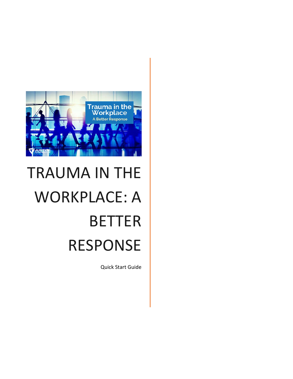

# TRAUMA IN THE WORKPLACE: A BETTER RESPONSE

Quick Start Guide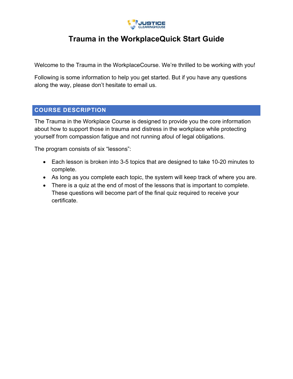

# **Trauma in the WorkplaceQuick Start Guide**

Welcome to the Trauma in the WorkplaceCourse. We're thrilled to be working with you!

Following is some information to help you get started. But if you have any questions along the way, please don't hesitate to email us.

#### **COURSE DESCRIPTION**

The Trauma in the Workplace Course is designed to provide you the core information about how to support those in trauma and distress in the workplace while protecting yourself from compassion fatigue and not running afoul of legal obligations.

The program consists of six "lessons":

- Each lesson is broken into 3-5 topics that are designed to take 10-20 minutes to complete.
- As long as you complete each topic, the system will keep track of where you are.
- There is a quiz at the end of most of the lessons that is important to complete. These questions will become part of the final quiz required to receive your certificate.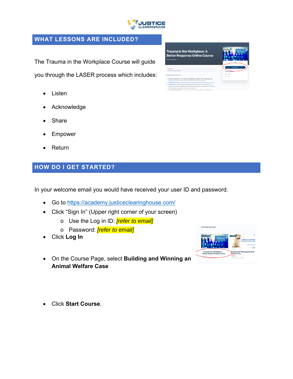

#### **WHAT LESSONS ARE INCLUDED?**

The Trauma in the Workplace Course will guide you through the LASER process which includes:

- Listen
- Acknowledge
- Share
- Empower
- Return

#### **HOW DO I GET STARTED?**

In your welcome email you would have received your user ID and password.

- Go to https://academy.justiceclearinghouse.com/
- Click "Sign In" (Upper right corner of your screen)
	- o Use the Log in ID: *[refer to email]*
	- o Password: *[refer to email]*
- Click **Log In**
- On the Course Page, select **Building and Winning an Animal Welfare Case**





Click **Start Course**.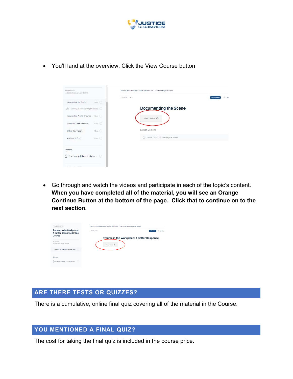

| <b>D% Complete</b><br>Lest sotivity on Jerusry 3, 2022 | Building and Winning an Animal Welters Cese : Documenting the Scena |             |
|--------------------------------------------------------|---------------------------------------------------------------------|-------------|
| Documenting the Scene<br>$10 \text{M}$                 | LESSON 1 OF 5                                                       | In Progress |
| Lesson Quiz, Documenting the Sonne [C]<br>0            | <b>Documenting the Scene</b>                                        |             |
| Documenting Animal Evidence<br>crovin (C)              | View Lesson @                                                       |             |
| 10ir.<br>Before You Get in the Truck                   |                                                                     |             |
| 10th (<br>Writing Your Report                          | Lesson Content                                                      |             |
| 10-Iz $($<br>Testifying in Court                       | 3 Lesson Quiz: Documenting the Scene                                |             |
| Quizzes                                                |                                                                     |             |
| (?) Final Exam: Building and Winning<br>-0             |                                                                     |             |

You'll land at the overview. Click the View Course button

 Go through and watch the videos and participate in each of the topic's content. **When you have completed all of the material, you will see an Orange Continue Button at the bottom of the page. Click that to continue on to the next section.** 

| 4 Back to Course                                                      | Trauma in the Workplace: A Better Response Online Course - Trauma in the Workplace: A Better Response |
|-----------------------------------------------------------------------|-------------------------------------------------------------------------------------------------------|
| Trauma in the Workplace:<br>A Better Response Online<br><b>Course</b> | LESSON 1 OF 1<br>In Progress<br>@ January<br>Trauma in the Workplace: A Better Response               |
| O'S Complete<br>Last activity on January 10, 2022                     | View Lesson @                                                                                         |
| Trauma in the Workplace: A Better Resp., 0                            |                                                                                                       |
| Quizzes                                                               |                                                                                                       |
| Final Quiz: Trauma in the Workplace (C)                               |                                                                                                       |

# **ARE THERE TESTS OR QUIZZES?**

There is a cumulative, online final quiz covering all of the material in the Course.

#### **YOU MENTIONED A FINAL QUIZ?**

The cost for taking the final quiz is included in the course price.